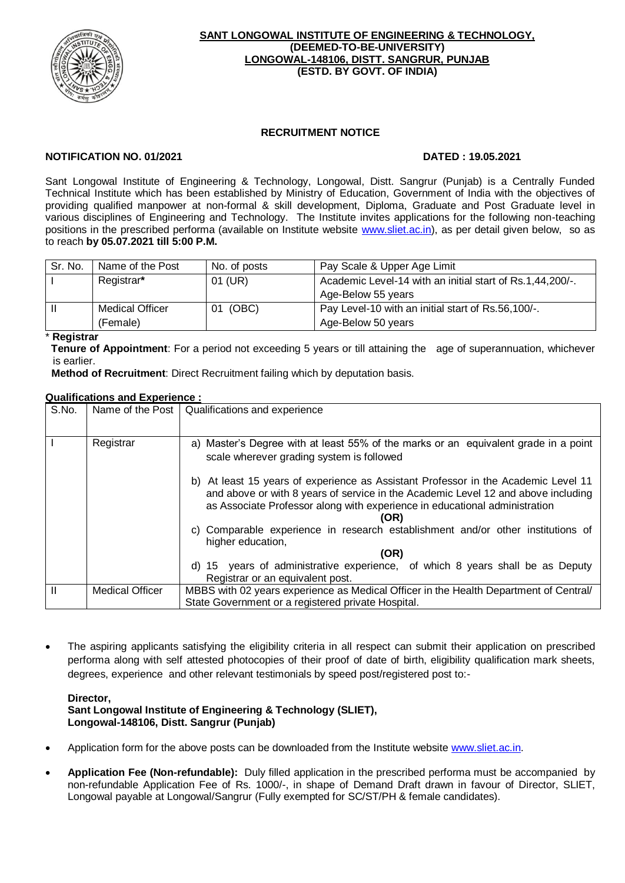

#### **SANT LONGOWAL INSTITUTE OF ENGINEERING & TECHNOLOGY, (DEEMED-TO-BE-UNIVERSITY) LONGOWAL-148106, DISTT. SANGRUR, PUNJAB (ESTD. BY GOVT. OF INDIA)**

# **RECRUITMENT NOTICE**

# **NOTIFICATION NO. 01/2021 DATED : 19.05.2021**

Sant Longowal Institute of Engineering & Technology, Longowal, Distt. Sangrur (Punjab) is a Centrally Funded Technical Institute which has been established by Ministry of Education, Government of India with the objectives of providing qualified manpower at non-formal & skill development, Diploma, Graduate and Post Graduate level in various disciplines of Engineering and Technology. The Institute invites applications for the following non-teaching positions in the prescribed performa (available on Institute website [www.sliet.ac.in\)](http://www.sliet.ac.in/), as per detail given below, so as to reach **by 05.07.2021 till 5:00 P.M.**

| Sr. No.      | Name of the Post       | No. of posts | Pay Scale & Upper Age Limit                               |  |
|--------------|------------------------|--------------|-----------------------------------------------------------|--|
|              | Registrar*             | 01 (UR)      | Academic Level-14 with an initial start of Rs.1,44,200/-. |  |
|              |                        |              | Age-Below 55 years                                        |  |
| $\mathbf{I}$ | <b>Medical Officer</b> | 01 (OBC)     | Pay Level-10 with an initial start of Rs.56,100/-.        |  |
|              | (Female)               |              | Age-Below 50 years                                        |  |

## \* **Registrar**

 **Tenure of Appointment**: For a period not exceeding 5 years or till attaining the age of superannuation, whichever is earlier.

**Method of Recruitment**: Direct Recruitment failing which by deputation basis.

## **Qualifications and Experience :**

| S.No.        | Name of the Post       | Qualifications and experience                                                                                                                                                                                                                                 |
|--------------|------------------------|---------------------------------------------------------------------------------------------------------------------------------------------------------------------------------------------------------------------------------------------------------------|
|              |                        |                                                                                                                                                                                                                                                               |
|              | Registrar              | a) Master's Degree with at least 55% of the marks or an equivalent grade in a point<br>scale wherever grading system is followed                                                                                                                              |
|              |                        | b) At least 15 years of experience as Assistant Professor in the Academic Level 11<br>and above or with 8 years of service in the Academic Level 12 and above including<br>as Associate Professor along with experience in educational administration<br>(OR) |
|              |                        | Comparable experience in research establishment and/or other institutions of<br>higher education,                                                                                                                                                             |
|              |                        | (OR)                                                                                                                                                                                                                                                          |
|              |                        | d) 15 years of administrative experience, of which 8 years shall be as Deputy                                                                                                                                                                                 |
|              |                        | Registrar or an equivalent post.                                                                                                                                                                                                                              |
| $\mathbf{H}$ | <b>Medical Officer</b> | MBBS with 02 years experience as Medical Officer in the Health Department of Central/<br>State Government or a registered private Hospital.                                                                                                                   |

 The aspiring applicants satisfying the eligibility criteria in all respect can submit their application on prescribed performa along with self attested photocopies of their proof of date of birth, eligibility qualification mark sheets, degrees, experience and other relevant testimonials by speed post/registered post to:-

#### **Director, Sant Longowal Institute of Engineering & Technology (SLIET), Longowal-148106, Distt. Sangrur (Punjab)**

- Application form for the above posts can be downloaded from the Institute website [www.sliet.ac.in.](http://www.sliet.org/)
- **Application Fee (Non-refundable):** Duly filled application in the prescribed performa must be accompanied by non-refundable Application Fee of Rs. 1000/-, in shape of Demand Draft drawn in favour of Director, SLIET, Longowal payable at Longowal/Sangrur (Fully exempted for SC/ST/PH & female candidates).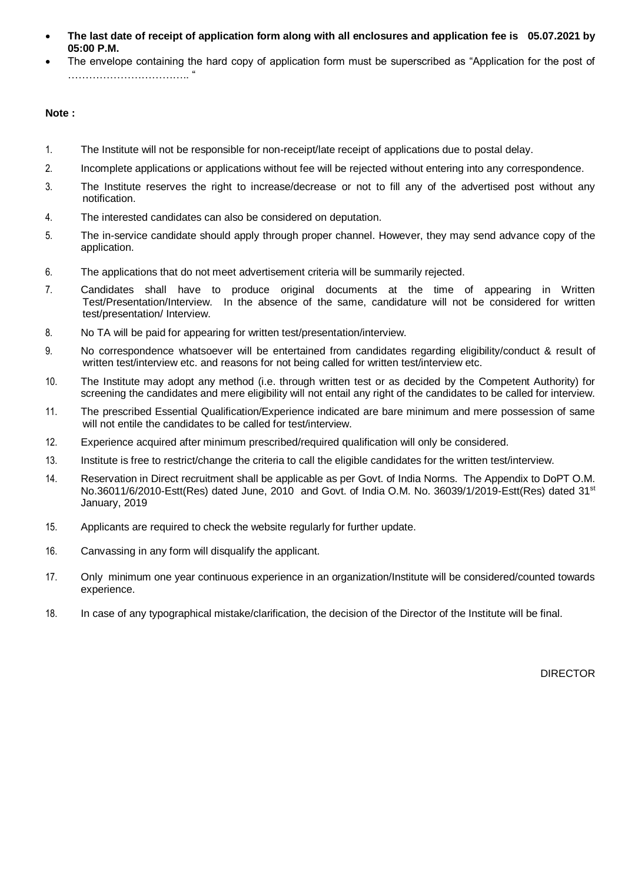- **The last date of receipt of application form along with all enclosures and application fee is 05.07.2021 by 05:00 P.M.**
- The envelope containing the hard copy of application form must be superscribed as "Application for the post of …………………………….. "

## **Note :**

- 1. The Institute will not be responsible for non-receipt/late receipt of applications due to postal delay.
- 2. Incomplete applications or applications without fee will be rejected without entering into any correspondence.
- 3. The Institute reserves the right to increase/decrease or not to fill any of the advertised post without any notification.
- 4. The interested candidates can also be considered on deputation.
- 5. The in-service candidate should apply through proper channel. However, they may send advance copy of the application.
- 6. The applications that do not meet advertisement criteria will be summarily rejected.
- 7. Candidates shall have to produce original documents at the time of appearing in Written Test/Presentation/Interview. In the absence of the same, candidature will not be considered for written test/presentation/ Interview.
- 8. No TA will be paid for appearing for written test/presentation/interview.
- 9. No correspondence whatsoever will be entertained from candidates regarding eligibility/conduct & result of written test/interview etc. and reasons for not being called for written test/interview etc.
- 10. The Institute may adopt any method (i.e. through written test or as decided by the Competent Authority) for screening the candidates and mere eligibility will not entail any right of the candidates to be called for interview.
- 11. The prescribed Essential Qualification/Experience indicated are bare minimum and mere possession of same will not entile the candidates to be called for test/interview.
- 12. Experience acquired after minimum prescribed/required qualification will only be considered.
- 13. Institute is free to restrict/change the criteria to call the eligible candidates for the written test/interview.
- 14. Reservation in Direct recruitment shall be applicable as per Govt. of India Norms. The Appendix to DoPT O.M. No.36011/6/2010-Estt(Res) dated June, 2010 and Govt. of India O.M. No. 36039/1/2019-Estt(Res) dated 31st January, 2019
- 15. Applicants are required to check the website regularly for further update.
- 16. Canvassing in any form will disqualify the applicant.
- 17. Only minimum one year continuous experience in an organization/Institute will be considered/counted towards experience.
- 18. In case of any typographical mistake/clarification, the decision of the Director of the Institute will be final.

DIRECTOR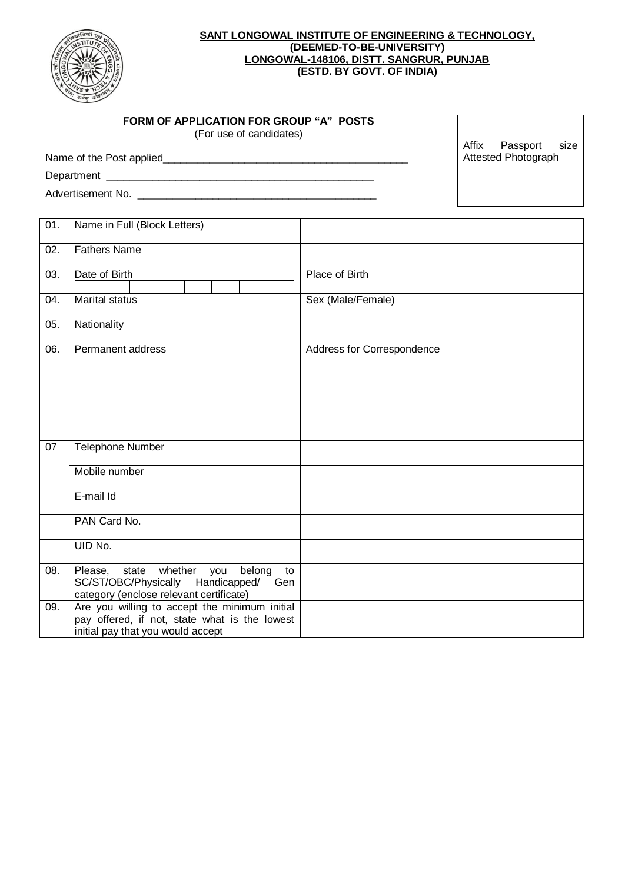

### **SANT LONGOWAL INSTITUTE OF ENGINEERING & TECHNOLOGY, (DEEMED-TO-BE-UNIVERSITY) LONGOWAL-148106, DISTT. SANGRUR, PUNJAB (ESTD. BY GOVT. OF INDIA)**

| <b>FORM OF APPLICATION FOR GROUP "A" POSTS</b> |
|------------------------------------------------|
|------------------------------------------------|

Name of the Post applied\_\_\_\_\_\_\_\_\_\_\_\_\_\_\_\_\_\_\_\_\_\_\_\_\_\_\_\_\_\_\_\_\_\_\_\_\_\_\_\_\_\_

(For use of candidates)

Department \_\_\_\_\_\_\_\_\_\_\_\_\_\_\_\_\_\_\_\_\_\_\_\_\_\_\_\_\_\_\_\_\_\_\_\_\_\_\_\_\_\_\_\_\_\_

Advertisement No. \_\_\_\_\_\_\_\_\_\_\_\_\_\_\_\_\_\_\_\_\_\_\_\_\_\_\_\_\_\_\_\_\_\_\_\_\_\_\_\_\_

Affix Passport size Attested Photograph

| 01. | Name in Full (Block Letters)                                                       |                            |
|-----|------------------------------------------------------------------------------------|----------------------------|
|     |                                                                                    |                            |
| 02. | <b>Fathers Name</b>                                                                |                            |
| 03. | Date of Birth                                                                      | Place of Birth             |
|     |                                                                                    |                            |
| 04. | <b>Marital status</b>                                                              | Sex (Male/Female)          |
| 05. | Nationality                                                                        |                            |
| 06. | Permanent address                                                                  | Address for Correspondence |
|     |                                                                                    |                            |
|     |                                                                                    |                            |
|     |                                                                                    |                            |
|     |                                                                                    |                            |
|     |                                                                                    |                            |
| 07  | Telephone Number                                                                   |                            |
|     |                                                                                    |                            |
|     | Mobile number                                                                      |                            |
|     | E-mail Id                                                                          |                            |
|     |                                                                                    |                            |
|     | PAN Card No.                                                                       |                            |
|     | UID No.                                                                            |                            |
| 08. | whether<br>Please, state<br>belong<br>you<br>to                                    |                            |
|     | SC/ST/OBC/Physically<br>Handicapped/<br>Gen                                        |                            |
|     | category (enclose relevant certificate)                                            |                            |
| 09. | Are you willing to accept the minimum initial                                      |                            |
|     | pay offered, if not, state what is the lowest<br>initial pay that you would accept |                            |
|     |                                                                                    |                            |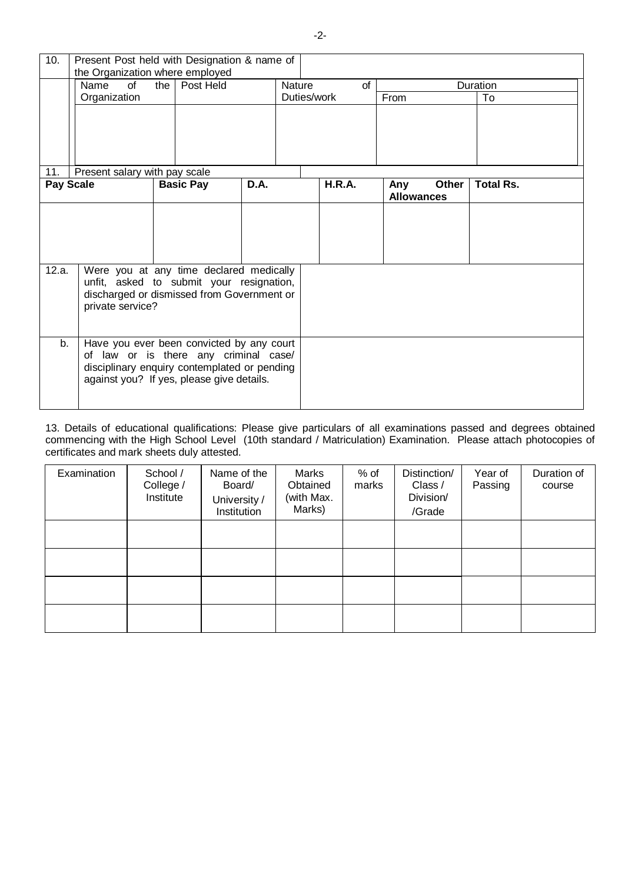| 10.              | Present Post held with Designation & name of<br>the Organization where employed                                                                                                 |                  |           |      |               |                   |                          |       |                  |  |
|------------------|---------------------------------------------------------------------------------------------------------------------------------------------------------------------------------|------------------|-----------|------|---------------|-------------------|--------------------------|-------|------------------|--|
|                  | of<br>Name<br>Organization                                                                                                                                                      | the I            | Post Held |      | <b>Nature</b> | of<br>Duties/work | From                     |       | Duration<br>To   |  |
| 11.              | Present salary with pay scale                                                                                                                                                   |                  |           |      |               |                   |                          |       |                  |  |
| <b>Pay Scale</b> |                                                                                                                                                                                 | <b>Basic Pay</b> |           | D.A. |               | H.R.A.            | Any<br><b>Allowances</b> | Other | <b>Total Rs.</b> |  |
|                  |                                                                                                                                                                                 |                  |           |      |               |                   |                          |       |                  |  |
| 12.a.            | Were you at any time declared medically<br>unfit, asked to submit your resignation,<br>discharged or dismissed from Government or<br>private service?                           |                  |           |      |               |                   |                          |       |                  |  |
| b.               | Have you ever been convicted by any court<br>of law or is there any criminal case/<br>disciplinary enquiry contemplated or pending<br>against you? If yes, please give details. |                  |           |      |               |                   |                          |       |                  |  |

13. Details of educational qualifications: Please give particulars of all examinations passed and degrees obtained commencing with the High School Level (10th standard / Matriculation) Examination. Please attach photocopies of certificates and mark sheets duly attested.

| Examination | School /<br>College /<br>Institute | Name of the<br>Board/<br>University /<br>Institution | Marks<br>Obtained<br>(with Max.<br>Marks) | $%$ of<br>marks | Distinction/<br>Class /<br>Division/<br>/Grade | Year of<br>Passing | Duration of<br>course |
|-------------|------------------------------------|------------------------------------------------------|-------------------------------------------|-----------------|------------------------------------------------|--------------------|-----------------------|
|             |                                    |                                                      |                                           |                 |                                                |                    |                       |
|             |                                    |                                                      |                                           |                 |                                                |                    |                       |
|             |                                    |                                                      |                                           |                 |                                                |                    |                       |
|             |                                    |                                                      |                                           |                 |                                                |                    |                       |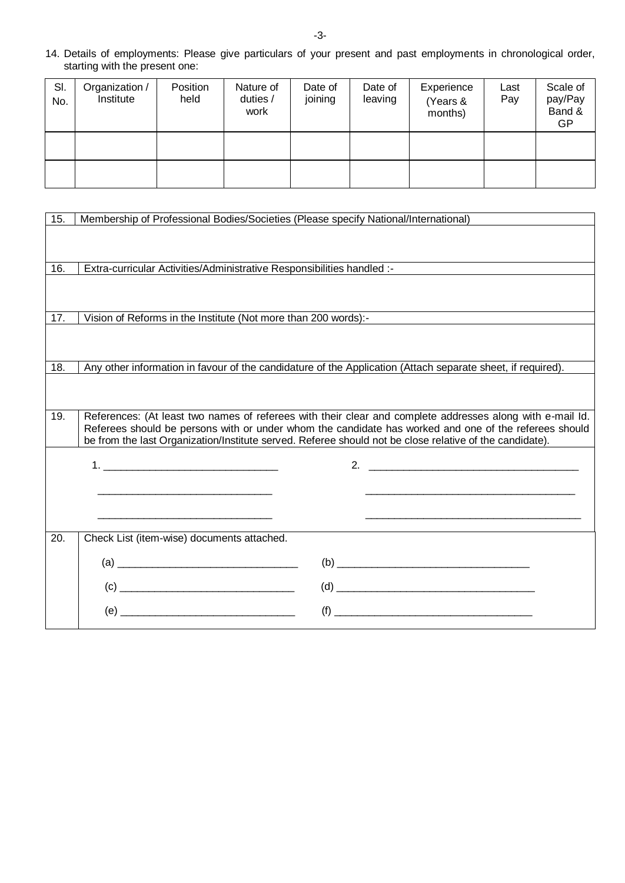14. Details of employments: Please give particulars of your present and past employments in chronological order, starting with the present one:

| SI.<br>No. | Organization /<br>Institute | Position<br>held | Nature of<br>duties /<br>work | Date of<br>joining | Date of<br>leaving | Experience<br>(Years &<br>months) | Last<br>Pay | Scale of<br>pay/Pay<br>Band &<br>GP |
|------------|-----------------------------|------------------|-------------------------------|--------------------|--------------------|-----------------------------------|-------------|-------------------------------------|
|            |                             |                  |                               |                    |                    |                                   |             |                                     |
|            |                             |                  |                               |                    |                    |                                   |             |                                     |

| 15. | Membership of Professional Bodies/Societies (Please specify National/International)                         |                                                                                                                                                                                                                                                                                                                                                                                                                                                                                                                       |
|-----|-------------------------------------------------------------------------------------------------------------|-----------------------------------------------------------------------------------------------------------------------------------------------------------------------------------------------------------------------------------------------------------------------------------------------------------------------------------------------------------------------------------------------------------------------------------------------------------------------------------------------------------------------|
|     |                                                                                                             |                                                                                                                                                                                                                                                                                                                                                                                                                                                                                                                       |
|     |                                                                                                             |                                                                                                                                                                                                                                                                                                                                                                                                                                                                                                                       |
| 16. | Extra-curricular Activities/Administrative Responsibilities handled :-                                      |                                                                                                                                                                                                                                                                                                                                                                                                                                                                                                                       |
|     |                                                                                                             |                                                                                                                                                                                                                                                                                                                                                                                                                                                                                                                       |
|     |                                                                                                             |                                                                                                                                                                                                                                                                                                                                                                                                                                                                                                                       |
| 17. | Vision of Reforms in the Institute (Not more than 200 words):-                                              |                                                                                                                                                                                                                                                                                                                                                                                                                                                                                                                       |
|     |                                                                                                             |                                                                                                                                                                                                                                                                                                                                                                                                                                                                                                                       |
| 18. | Any other information in favour of the candidature of the Application (Attach separate sheet, if required). |                                                                                                                                                                                                                                                                                                                                                                                                                                                                                                                       |
|     |                                                                                                             |                                                                                                                                                                                                                                                                                                                                                                                                                                                                                                                       |
|     |                                                                                                             |                                                                                                                                                                                                                                                                                                                                                                                                                                                                                                                       |
| 19. |                                                                                                             | References: (At least two names of referees with their clear and complete addresses along with e-mail Id.                                                                                                                                                                                                                                                                                                                                                                                                             |
|     | be from the last Organization/Institute served. Referee should not be close relative of the candidate).     | Referees should be persons with or under whom the candidate has worked and one of the referees should                                                                                                                                                                                                                                                                                                                                                                                                                 |
|     |                                                                                                             |                                                                                                                                                                                                                                                                                                                                                                                                                                                                                                                       |
|     |                                                                                                             |                                                                                                                                                                                                                                                                                                                                                                                                                                                                                                                       |
|     | the contract of the contract of the contract of the contract of the contract of                             |                                                                                                                                                                                                                                                                                                                                                                                                                                                                                                                       |
|     |                                                                                                             |                                                                                                                                                                                                                                                                                                                                                                                                                                                                                                                       |
|     |                                                                                                             | <u> 1989 - Jan Sterlingen, skriuwer yn de grut yn de grut yn de grut yn de grut yn de grut yn de grut yn de grut y</u>                                                                                                                                                                                                                                                                                                                                                                                                |
| 20. | Check List (item-wise) documents attached.                                                                  |                                                                                                                                                                                                                                                                                                                                                                                                                                                                                                                       |
|     |                                                                                                             | $\begin{picture}(150,10) \put(0,0){\line(1,0){10}} \put(15,0){\line(1,0){10}} \put(15,0){\line(1,0){10}} \put(15,0){\line(1,0){10}} \put(15,0){\line(1,0){10}} \put(15,0){\line(1,0){10}} \put(15,0){\line(1,0){10}} \put(15,0){\line(1,0){10}} \put(15,0){\line(1,0){10}} \put(15,0){\line(1,0){10}} \put(15,0){\line(1,0){10}} \put(15,0){\line($                                                                                                                                                                   |
|     |                                                                                                             | $(d) \begin{tabular}{ c c c } \hline \rule{.8cm}{.4cm} & \rule{.8cm}{.4cm} \rule{.8cm}{.4cm} \rule{.8cm}{.4cm} \rule{.8cm}{.4cm} \rule{.8cm}{.4cm} \rule{.8cm}{.4cm} \rule{.8cm}{.4cm} \rule{.8cm}{.4cm} \rule{.8cm}{.4cm} \rule{.8cm}{.4cm} \rule{.8cm}{.4cm} \rule{.8cm}{.4cm} \rule{.8cm}{.4cm} \rule{.8cm}{.4cm} \rule{.8cm}{.4cm} \rule{.8cm}{.4cm} \rule{.8cm}{.4cm} \rule$                                                                                                                                     |
|     |                                                                                                             | $\qquad \qquad \textbf{(f)} \qquad \qquad \qquad \textbf{---} \qquad \qquad \textbf{(f)} \qquad \qquad \textbf{(f)} \qquad \qquad \textbf{(i)} \qquad \qquad \textbf{(ii)} \qquad \qquad \textbf{(iii)} \qquad \qquad \textbf{(iv)} \qquad \qquad \textbf{(iv)} \qquad \qquad \textbf{(v)} \qquad \qquad \textbf{(v)} \qquad \qquad \textbf{(v)} \qquad \qquad \textbf{(v)} \qquad \qquad \textbf{(v)} \qquad \qquad \textbf{(v)} \qquad \qquad \textbf{(v)} \qquad \qquad \textbf{(v)} \qquad \qquad \textbf{(v)} \$ |